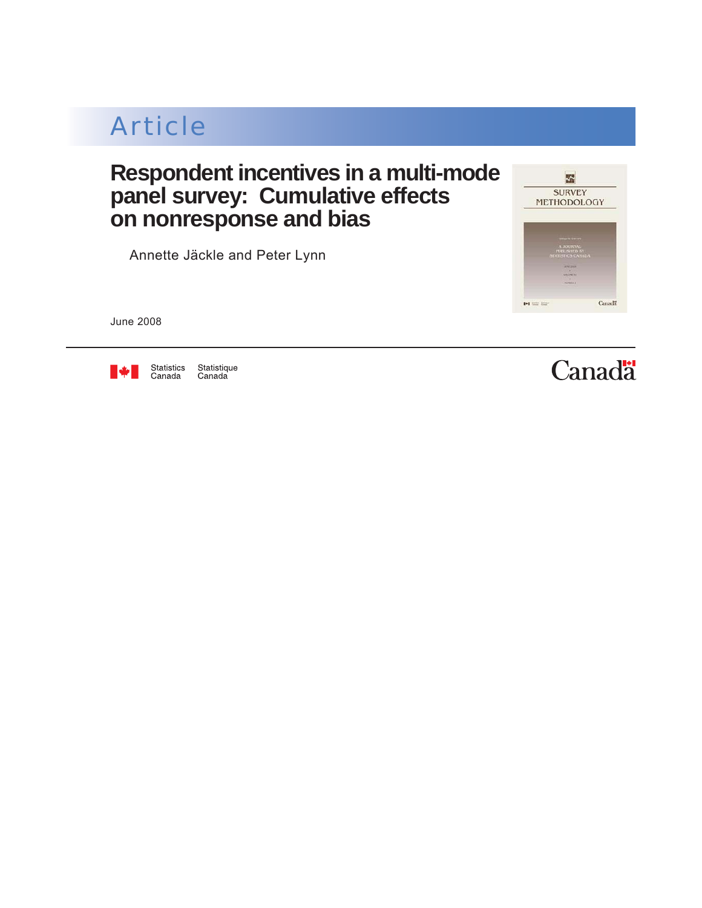Component of Statistics Canada Catalogue no. 12-001-X Business Survey Methods Division

## Article

### **Respondent incentives in a multi-mode panel survey: Cumulative effects on nonresponse and bias**

by Annette Jäckle and Peter Lynn



June 2008



Statistique<br>Canada

# **Canadä**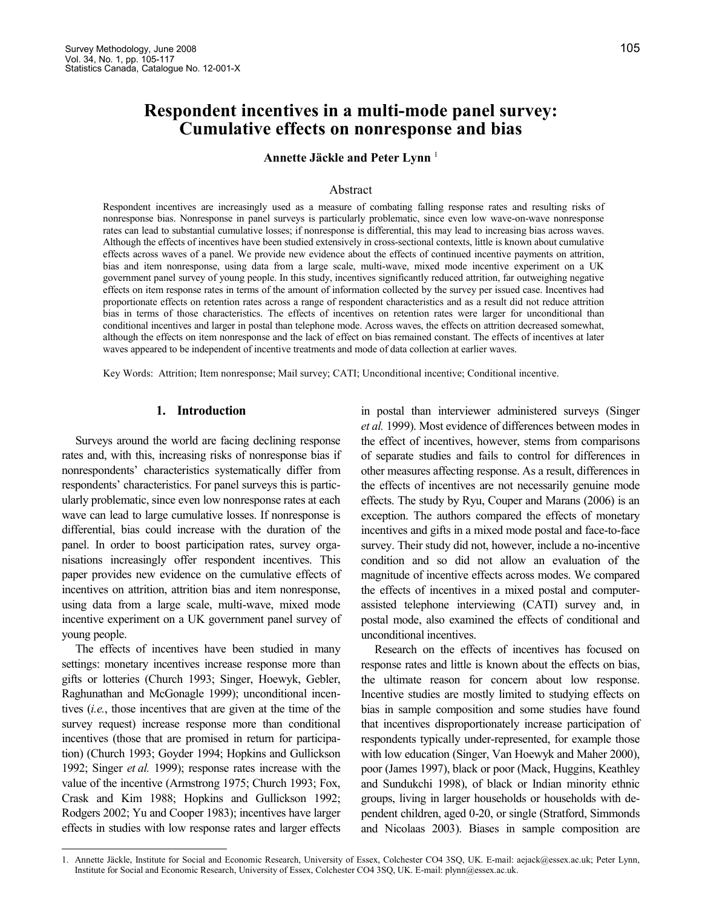### Respondent incentives in a multi-mode panel survey: Cumulative effects on nonresponse and bias

Annette Jäckle and Peter Lynn $<sup>1</sup>$ </sup>

#### Abstract

Respondent incentives are increasingly used as a measure of combating falling response rates and resulting risks of nonresponse bias. Nonresponse in panel surveys is particularly problematic, since even low wave-on-wave nonresponse rates can lead to substantial cumulative losses; if nonresponse is differential, this may lead to increasing bias across waves. Although the effects of incentives have been studied extensively in cross-sectional contexts, little is known about cumulative effects across waves of a panel. We provide new evidence about the effects of continued incentive payments on attrition, bias and item nonresponse, using data from a large scale, multi-wave, mixed mode incentive experiment on a UK government panel survey of young people. In this study, incentives significantly reduced attrition, far outweighing negative effects on item response rates in terms of the amount of information collected by the survey per issued case. Incentives had proportionate effects on retention rates across a range of respondent characteristics and as a result did not reduce attrition bias in terms of those characteristics. The effects of incentives on retention rates were larger for unconditional than conditional incentives and larger in postal than telephone mode. Across waves, the effects on attrition decreased somewhat, although the effects on item nonresponse and the lack of effect on bias remained constant. The effects of incentives at later waves appeared to be independent of incentive treatments and mode of data collection at earlier waves.

Key Words: Attrition; Item nonresponse; Mail survey; CATI; Unconditional incentive; Conditional incentive.

#### 1. Introduction

Surveys around the world are facing declining response rates and, with this, increasing risks of nonresponse bias if nonrespondents' characteristics systematically differ from respondents' characteristics. For panel surveys this is particularly problematic, since even low nonresponse rates at each wave can lead to large cumulative losses. If nonresponse is differential, bias could increase with the duration of the panel. In order to boost participation rates, survey organisations increasingly offer respondent incentives. This paper provides new evidence on the cumulative effects of incentives on attrition, attrition bias and item nonresponse, using data from a large scale, multi-wave, mixed mode incentive experiment on a UK government panel survey of young people.

The effects of incentives have been studied in many settings: monetary incentives increase response more than gifts or lotteries (Church 1993; Singer, Hoewyk, Gebler, Raghunathan and McGonagle 1999); unconditional incentives (i.e., those incentives that are given at the time of the survey request) increase response more than conditional incentives (those that are promised in return for participation) (Church 1993; Goyder 1994; Hopkins and Gullickson 1992; Singer et al. 1999); response rates increase with the value of the incentive (Armstrong 1975; Church 1993; Fox, Crask and Kim 1988; Hopkins and Gullickson 1992; Rodgers 2002; Yu and Cooper 1983); incentives have larger effects in studies with low response rates and larger effects

-

in postal than interviewer administered surveys (Singer et al. 1999). Most evidence of differences between modes in the effect of incentives, however, stems from comparisons of separate studies and fails to control for differences in other measures affecting response. As a result, differences in the effects of incentives are not necessarily genuine mode effects. The study by Ryu, Couper and Marans (2006) is an exception. The authors compared the effects of monetary incentives and gifts in a mixed mode postal and face-to-face survey. Their study did not, however, include a no-incentive condition and so did not allow an evaluation of the magnitude of incentive effects across modes. We compared the effects of incentives in a mixed postal and computerassisted telephone interviewing (CATI) survey and, in postal mode, also examined the effects of conditional and unconditional incentives.

Research on the effects of incentives has focused on response rates and little is known about the effects on bias, the ultimate reason for concern about low response. Incentive studies are mostly limited to studying effects on bias in sample composition and some studies have found that incentives disproportionately increase participation of respondents typically under-represented, for example those with low education (Singer, Van Hoewyk and Maher 2000), poor (James 1997), black or poor (Mack, Huggins, Keathley and Sundukchi 1998), of black or Indian minority ethnic groups, living in larger households or households with dependent children, aged 0-20, or single (Stratford, Simmonds and Nicolaas 2003). Biases in sample composition are

<sup>1.</sup> Annette Jäckle, Institute for Social and Economic Research, University of Essex, Colchester CO4 3SQ, UK. E-mail: aejack@essex.ac.uk; Peter Lynn, Institute for Social and Economic Research, University of Essex, Colchester CO4 3SQ, UK. E-mail: plynn@essex.ac.uk.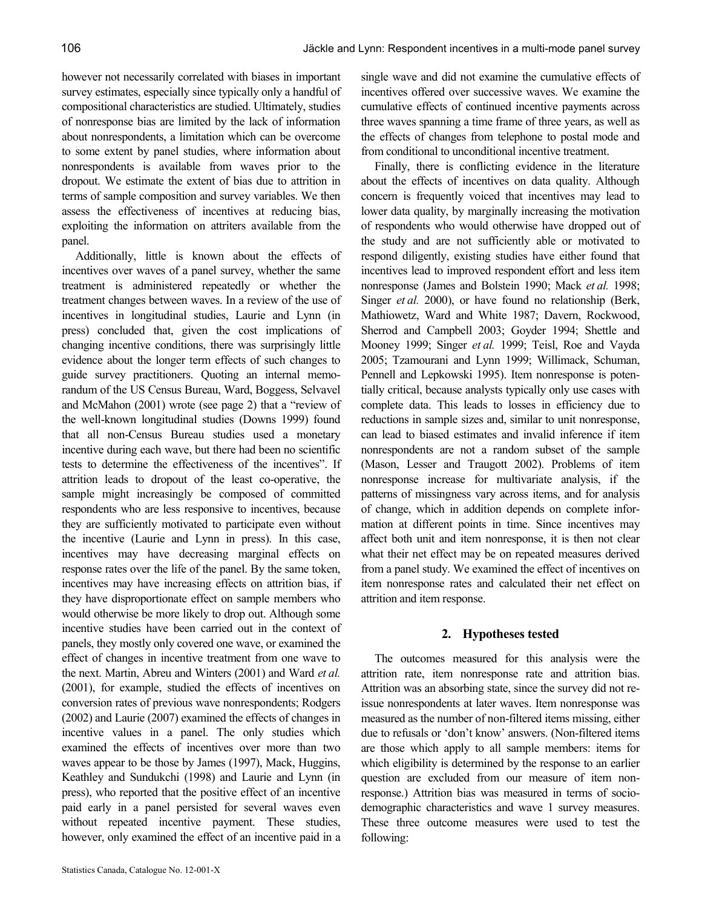however not necessarily correlated with biases in important survey estimates, especially since typically only a handful of compositional characteristics are studied. Ultimately, studies of nonresponse bias are limited by the lack of information about nonrespondents, a limitation which can be overcome to some extent by panel studies, where information about nonrespondents is available from waves prior to the dropout. We estimate the extent of bias due to attrition in terms of sample composition and survey variables. We then assess the effectiveness of incentives at reducing bias, exploiting the information on attriters available from the panel.

Additionally, little is known about the effects of incentives over waves of a panel survey, whether the same treatment is administered repeatedly or whether the treatment changes between waves. In a review of the use of incentives in longitudinal studies, Laurie and Lynn (in press) concluded that, given the cost implications of changing incentive conditions, there was surprisingly little evidence about the longer term effects of such changes to guide survey practitioners. Quoting an internal memorandum of the US Census Bureau, Ward, Boggess, Selvavel and McMahon (2001) wrote (see page 2) that a "review of the well-known longitudinal studies (Downs 1999) found that all non-Census Bureau studies used a monetary incentive during each wave, but there had been no scientific tests to determine the effectiveness of the incentives". If attrition leads to dropout of the least co-operative, the sample might increasingly be composed of committed respondents who are less responsive to incentives, because they are sufficiently motivated to participate even without the incentive (Laurie and Lynn in press). In this case, incentives may have decreasing marginal effects on response rates over the life of the panel. By the same token, incentives may have increasing effects on attrition bias, if they have disproportionate effect on sample members who would otherwise be more likely to drop out. Although some incentive studies have been carried out in the context of panels, they mostly only covered one wave, or examined the effect of changes in incentive treatment from one wave to the next. Martin, Abreu and Winters (2001) and Ward et al. (2001), for example, studied the effects of incentives on conversion rates of previous wave nonrespondents; Rodgers (2002) and Laurie (2007) examined the effects of changes in incentive values in a panel. The only studies which examined the effects of incentives over more than two waves appear to be those by James (1997), Mack, Huggins, Keathley and Sundukchi (1998) and Laurie and Lynn (in press), who reported that the positive effect of an incentive paid early in a panel persisted for several waves even without repeated incentive payment. These studies, however, only examined the effect of an incentive paid in a

single wave and did not examine the cumulative effects of incentives offered over successive waves. We examine the cumulative effects of continued incentive payments across three waves spanning a time frame of three years, as well as the effects of changes from telephone to postal mode and from conditional to unconditional incentive treatment.

Finally, there is conflicting evidence in the literature about the effects of incentives on data quality. Although concern is frequently voiced that incentives may lead to lower data quality, by marginally increasing the motivation of respondents who would otherwise have dropped out of the study and are not sufficiently able or motivated to respond diligently, existing studies have either found that incentives lead to improved respondent effort and less item nonresponse (James and Bolstein 1990; Mack et al. 1998; Singer et al. 2000), or have found no relationship (Berk, Mathiowetz, Ward and White 1987; Davern, Rockwood, Sherrod and Campbell 2003; Goyder 1994; Shettle and Mooney 1999; Singer et al. 1999; Teisl, Roe and Vayda 2005; Tzamourani and Lynn 1999; Willimack, Schuman, Pennell and Lepkowski 1995). Item nonresponse is potentially critical, because analysts typically only use cases with complete data. This leads to losses in efficiency due to reductions in sample sizes and, similar to unit nonresponse, can lead to biased estimates and invalid inference if item nonrespondents are not a random subset of the sample (Mason, Lesser and Traugott 2002). Problems of item nonresponse increase for multivariate analysis, if the patterns of missingness vary across items, and for analysis of change, which in addition depends on complete information at different points in time. Since incentives may affect both unit and item nonresponse, it is then not clear what their net effect may be on repeated measures derived from a panel study. We examined the effect of incentives on item nonresponse rates and calculated their net effect on attrition and item response.

#### 2. Hypotheses tested

The outcomes measured for this analysis were the attrition rate, item nonresponse rate and attrition bias. Attrition was an absorbing state, since the survey did not reissue nonrespondents at later waves. Item nonresponse was measured as the number of non-filtered items missing, either due to refusals or 'don't know' answers. (Non-filtered items are those which apply to all sample members: items for which eligibility is determined by the response to an earlier question are excluded from our measure of item nonresponse.) Attrition bias was measured in terms of sociodemographic characteristics and wave 1 survey measures. These three outcome measures were used to test the following: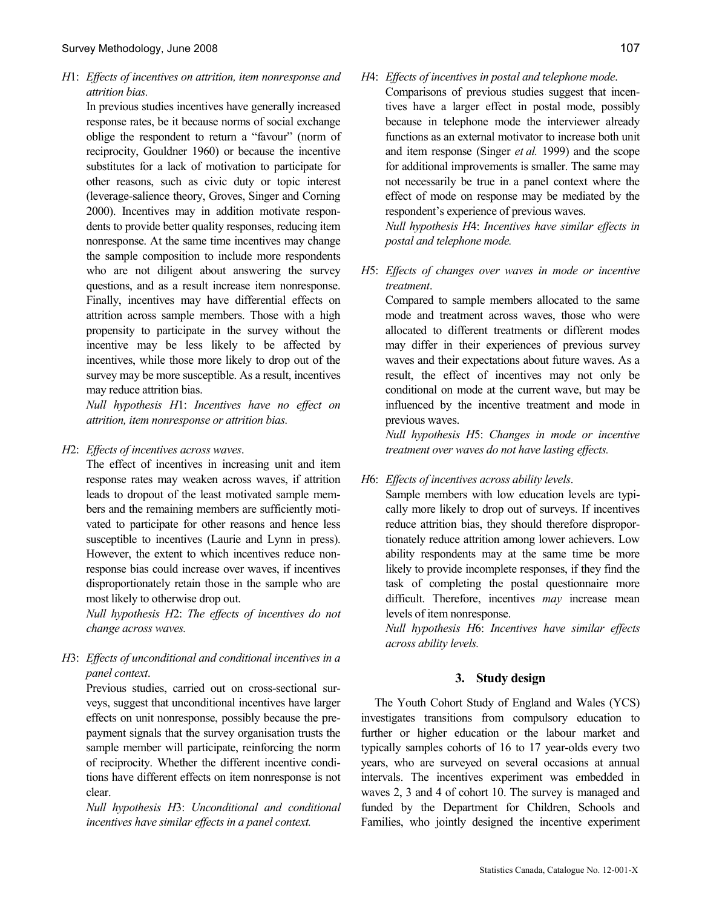H1: Effects of incentives on attrition, item nonresponse and attrition bias.

In previous studies incentives have generally increased response rates, be it because norms of social exchange oblige the respondent to return a "favour" (norm of reciprocity, Gouldner 1960) or because the incentive substitutes for a lack of motivation to participate for other reasons, such as civic duty or topic interest (leverage-salience theory, Groves, Singer and Corning 2000). Incentives may in addition motivate respondents to provide better quality responses, reducing item nonresponse. At the same time incentives may change the sample composition to include more respondents who are not diligent about answering the survey questions, and as a result increase item nonresponse. Finally, incentives may have differential effects on attrition across sample members. Those with a high propensity to participate in the survey without the incentive may be less likely to be affected by incentives, while those more likely to drop out of the survey may be more susceptible. As a result, incentives may reduce attrition bias.

Null hypothesis H1: Incentives have no effect on attrition, item nonresponse or attrition bias.

#### H2: Effects of incentives across waves.

The effect of incentives in increasing unit and item response rates may weaken across waves, if attrition leads to dropout of the least motivated sample members and the remaining members are sufficiently motivated to participate for other reasons and hence less susceptible to incentives (Laurie and Lynn in press). However, the extent to which incentives reduce nonresponse bias could increase over waves, if incentives disproportionately retain those in the sample who are most likely to otherwise drop out.

 Null hypothesis H2: The effects of incentives do not change across waves.

#### H3: Effects of unconditional and conditional incentives in a panel context.

Previous studies, carried out on cross-sectional surveys, suggest that unconditional incentives have larger effects on unit nonresponse, possibly because the prepayment signals that the survey organisation trusts the sample member will participate, reinforcing the norm of reciprocity. Whether the different incentive conditions have different effects on item nonresponse is not clear.

 Null hypothesis H3: Unconditional and conditional incentives have similar effects in a panel context.

#### H4: Effects of incentives in postal and telephone mode.

Comparisons of previous studies suggest that incentives have a larger effect in postal mode, possibly because in telephone mode the interviewer already functions as an external motivator to increase both unit and item response (Singer et al. 1999) and the scope for additional improvements is smaller. The same may not necessarily be true in a panel context where the effect of mode on response may be mediated by the respondent's experience of previous waves. Null hypothesis H4: Incentives have similar effects in

postal and telephone mode.

H5: Effects of changes over waves in mode or incentive treatment.

Compared to sample members allocated to the same mode and treatment across waves, those who were allocated to different treatments or different modes may differ in their experiences of previous survey waves and their expectations about future waves. As a result, the effect of incentives may not only be conditional on mode at the current wave, but may be influenced by the incentive treatment and mode in previous waves.

 Null hypothesis H5: Changes in mode or incentive treatment over waves do not have lasting effects.

H6: Effects of incentives across ability levels.

Sample members with low education levels are typically more likely to drop out of surveys. If incentives reduce attrition bias, they should therefore disproportionately reduce attrition among lower achievers. Low ability respondents may at the same time be more likely to provide incomplete responses, if they find the task of completing the postal questionnaire more difficult. Therefore, incentives *may* increase mean levels of item nonresponse.

 Null hypothesis H6: Incentives have similar effects across ability levels.

#### 3. Study design

The Youth Cohort Study of England and Wales (YCS) investigates transitions from compulsory education to further or higher education or the labour market and typically samples cohorts of 16 to 17 year-olds every two years, who are surveyed on several occasions at annual intervals. The incentives experiment was embedded in waves 2, 3 and 4 of cohort 10. The survey is managed and funded by the Department for Children, Schools and Families, who jointly designed the incentive experiment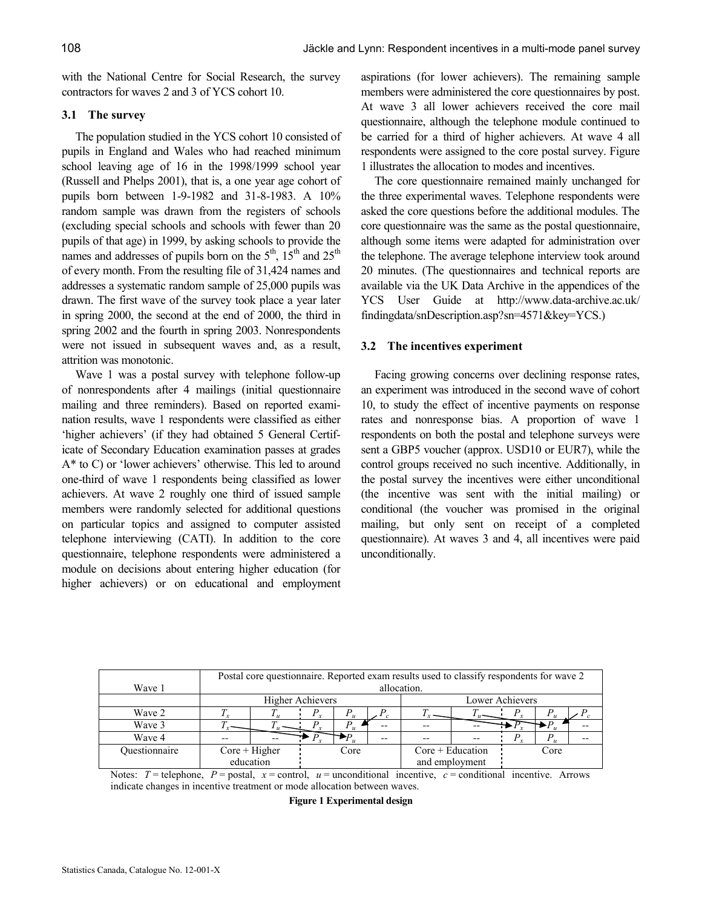with the National Centre for Social Research, the survey contractors for waves 2 and 3 of YCS cohort 10.

#### 3.1 The survey

The population studied in the YCS cohort 10 consisted of pupils in England and Wales who had reached minimum school leaving age of 16 in the 1998/1999 school year (Russell and Phelps 2001), that is, a one year age cohort of pupils born between 1-9-1982 and 31-8-1983. A 10% random sample was drawn from the registers of schools (excluding special schools and schools with fewer than 20 pupils of that age) in 1999, by asking schools to provide the names and addresses of pupils born on the  $5<sup>th</sup>$ ,  $15<sup>th</sup>$  and  $25<sup>th</sup>$ of every month. From the resulting file of 31,424 names and addresses a systematic random sample of 25,000 pupils was drawn. The first wave of the survey took place a year later in spring 2000, the second at the end of 2000, the third in spring 2002 and the fourth in spring 2003. Nonrespondents were not issued in subsequent waves and, as a result, attrition was monotonic.

Wave 1 was a postal survey with telephone follow-up of nonrespondents after 4 mailings (initial questionnaire mailing and three reminders). Based on reported examination results, wave 1 respondents were classified as either 'higher achievers' (if they had obtained 5 General Certificate of Secondary Education examination passes at grades A\* to C) or 'lower achievers' otherwise. This led to around one-third of wave 1 respondents being classified as lower achievers. At wave 2 roughly one third of issued sample members were randomly selected for additional questions on particular topics and assigned to computer assisted telephone interviewing (CATI). In addition to the core questionnaire, telephone respondents were administered a module on decisions about entering higher education (for higher achievers) or on educational and employment aspirations (for lower achievers). The remaining sample members were administered the core questionnaires by post. At wave 3 all lower achievers received the core mail questionnaire, although the telephone module continued to be carried for a third of higher achievers. At wave 4 all respondents were assigned to the core postal survey. Figure 1 illustrates the allocation to modes and incentives.

The core questionnaire remained mainly unchanged for the three experimental waves. Telephone respondents were asked the core questions before the additional modules. The core questionnaire was the same as the postal questionnaire, although some items were adapted for administration over the telephone. The average telephone interview took around 20 minutes. (The questionnaires and technical reports are available via the UK Data Archive in the appendices of the YCS User Guide at http://www.data-archive.ac.uk/ findingdata/snDescription.asp?sn=4571&key=YCS.)

#### 3.2 The incentives experiment

Facing growing concerns over declining response rates, an experiment was introduced in the second wave of cohort 10, to study the effect of incentive payments on response rates and nonresponse bias. A proportion of wave 1 respondents on both the postal and telephone surveys were sent a GBP5 voucher (approx. USD10 or EUR7), while the control groups received no such incentive. Additionally, in the postal survey the incentives were either unconditional (the incentive was sent with the initial mailing) or conditional (the voucher was promised in the original mailing, but only sent on receipt of a completed questionnaire). At waves 3 and 4, all incentives were paid unconditionally.

|               |                  | Postal core questionnaire. Reported exam results used to classify respondents for wave 2 |       |  |                    |                 |  |      |                |  |
|---------------|------------------|------------------------------------------------------------------------------------------|-------|--|--------------------|-----------------|--|------|----------------|--|
| Wave 1        |                  | allocation.                                                                              |       |  |                    |                 |  |      |                |  |
|               | Higher Achievers |                                                                                          |       |  |                    | Lower Achievers |  |      |                |  |
| Wave 2        |                  |                                                                                          | $1 -$ |  |                    |                 |  |      |                |  |
| Wave 3        |                  |                                                                                          |       |  | $- -$              |                 |  |      |                |  |
| Wave 4        |                  |                                                                                          |       |  | $- -$              | $- -$           |  |      | $\overline{u}$ |  |
| Ouestionnaire | $Core + Higher$  |                                                                                          | Core  |  | $Core + Education$ |                 |  | Core |                |  |
|               | education        |                                                                                          |       |  | and employment     |                 |  |      |                |  |

Notes:  $T =$  telephone,  $P =$  postal,  $x =$  control,  $u =$  unconditional incentive,  $c =$  conditional incentive. Arrows indicate changes in incentive treatment or mode allocation between waves.

Figure 1 Experimental design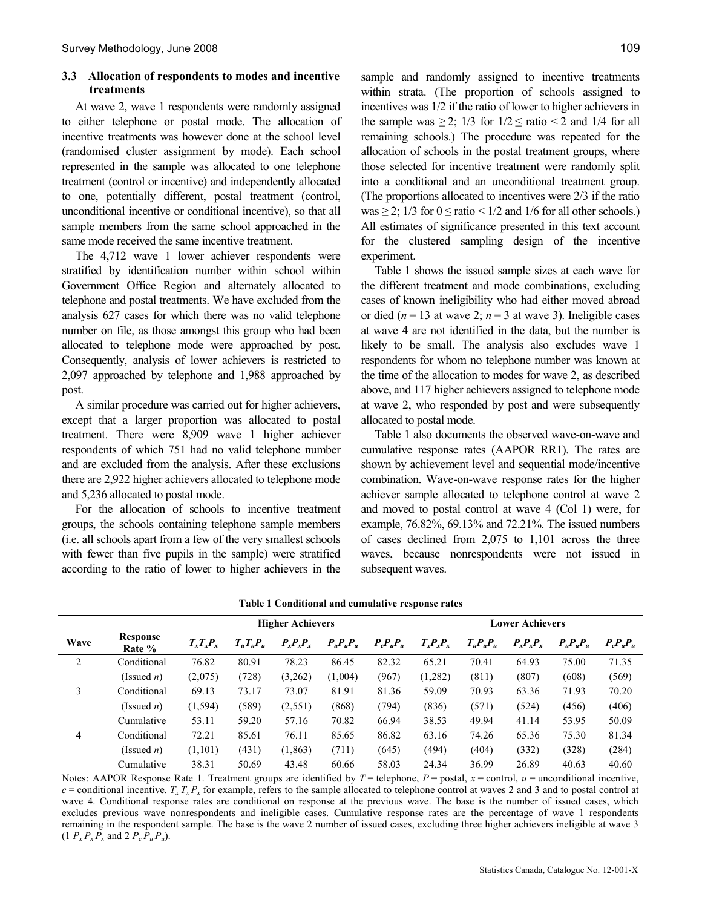#### 3.3 Allocation of respondents to modes and incentive treatments

At wave 2, wave 1 respondents were randomly assigned to either telephone or postal mode. The allocation of incentive treatments was however done at the school level (randomised cluster assignment by mode). Each school represented in the sample was allocated to one telephone treatment (control or incentive) and independently allocated to one, potentially different, postal treatment (control, unconditional incentive or conditional incentive), so that all sample members from the same school approached in the same mode received the same incentive treatment.

The 4,712 wave 1 lower achiever respondents were stratified by identification number within school within Government Office Region and alternately allocated to telephone and postal treatments. We have excluded from the analysis 627 cases for which there was no valid telephone number on file, as those amongst this group who had been allocated to telephone mode were approached by post. Consequently, analysis of lower achievers is restricted to 2,097 approached by telephone and 1,988 approached by post.

A similar procedure was carried out for higher achievers, except that a larger proportion was allocated to postal treatment. There were 8,909 wave 1 higher achiever respondents of which 751 had no valid telephone number and are excluded from the analysis. After these exclusions there are 2,922 higher achievers allocated to telephone mode and 5,236 allocated to postal mode.

For the allocation of schools to incentive treatment groups, the schools containing telephone sample members (i.e. all schools apart from a few of the very smallest schools with fewer than five pupils in the sample) were stratified according to the ratio of lower to higher achievers in the sample and randomly assigned to incentive treatments within strata. (The proportion of schools assigned to incentives was 1/2 if the ratio of lower to higher achievers in the sample was  $\geq$  2; 1/3 for  $1/2 \leq$  ratio < 2 and 1/4 for all remaining schools.) The procedure was repeated for the allocation of schools in the postal treatment groups, where those selected for incentive treatment were randomly split into a conditional and an unconditional treatment group. (The proportions allocated to incentives were 2/3 if the ratio was  $\geq$  2; 1/3 for  $0 \leq$  ratio  $\leq$  1/2 and 1/6 for all other schools.) All estimates of significance presented in this text account for the clustered sampling design of the incentive experiment.

Table 1 shows the issued sample sizes at each wave for the different treatment and mode combinations, excluding cases of known ineligibility who had either moved abroad or died ( $n = 13$  at wave 2;  $n = 3$  at wave 3). Ineligible cases at wave 4 are not identified in the data, but the number is likely to be small. The analysis also excludes wave 1 respondents for whom no telephone number was known at the time of the allocation to modes for wave 2, as described above, and 117 higher achievers assigned to telephone mode at wave 2, who responded by post and were subsequently allocated to postal mode.

Table 1 also documents the observed wave-on-wave and cumulative response rates (AAPOR RR1). The rates are shown by achievement level and sequential mode/incentive combination. Wave-on-wave response rates for the higher achiever sample allocated to telephone control at wave 2 and moved to postal control at wave 4 (Col 1) were, for example, 76.82%, 69.13% and 72.21%. The issued numbers of cases declined from 2,075 to 1,101 across the three waves, because nonrespondents were not issued in subsequent waves.

|      |                    |             | <b>Lower Achievers</b> |                               |               |               |               |               |               |               |               |
|------|--------------------|-------------|------------------------|-------------------------------|---------------|---------------|---------------|---------------|---------------|---------------|---------------|
| Wave | Response<br>Rate % | $T_xT_xP_x$ | $T_u T_u P_u$          | $P_{\rm r}P_{\rm r}P_{\rm r}$ | $P_u P_u P_u$ | $P_c P_u P_u$ | $T_x P_x P_x$ | $T_u P_u P_u$ | $P_x P_x P_x$ | $P_u P_u P_u$ | $P_c P_u P_u$ |
| 2    | Conditional        | 76.82       | 80.91                  | 78.23                         | 86.45         | 82.32         | 65.21         | 70.41         | 64.93         | 75.00         | 71.35         |
|      | (Issued <i>n</i> ) | (2,075)     | (728)                  | (3,262)                       | (1,004)       | (967)         | (1, 282)      | (811)         | (807)         | (608)         | (569)         |
| 3    | Conditional        | 69.13       | 73.17                  | 73.07                         | 81.91         | 81.36         | 59.09         | 70.93         | 63.36         | 71.93         | 70.20         |
|      | (Issued <i>n</i> ) | (1, 594)    | (589)                  | (2, 551)                      | (868)         | (794)         | (836)         | (571)         | (524)         | (456)         | (406)         |
|      | Cumulative         | 53.11       | 59.20                  | 57.16                         | 70.82         | 66.94         | 38.53         | 49.94         | 41.14         | 53.95         | 50.09         |
| 4    | Conditional        | 72.21       | 85.61                  | 76.11                         | 85.65         | 86.82         | 63.16         | 74.26         | 65.36         | 75.30         | 81.34         |
|      | (Issued <i>n</i> ) | (1, 101)    | (431)                  | (1, 863)                      | (711)         | (645)         | (494)         | (404)         | (332)         | (328)         | (284)         |
|      | Cumulative         | 38.31       | 50.69                  | 43.48                         | 60.66         | 58.03         | 24.34         | 36.99         | 26.89         | 40.63         | 40.60         |

#### Table 1 Conditional and cumulative response rates

Notes: AAPOR Response Rate 1. Treatment groups are identified by  $T =$  telephone,  $P =$  postal,  $x =$  control,  $u =$  unconditional incentive,  $c$  = conditional incentive.  $T_x T_x P_x$  for example, refers to the sample allocated to telephone control at waves 2 and 3 and to postal control at wave 4. Conditional response rates are conditional on response at the previous wave. The base is the number of issued cases, which excludes previous wave nonrespondents and ineligible cases. Cumulative response rates are the percentage of wave 1 respondents remaining in the respondent sample. The base is the wave 2 number of issued cases, excluding three higher achievers ineligible at wave 3  $(1 P_x P_x P_x$  and  $2 P_c P_u P_u$ ).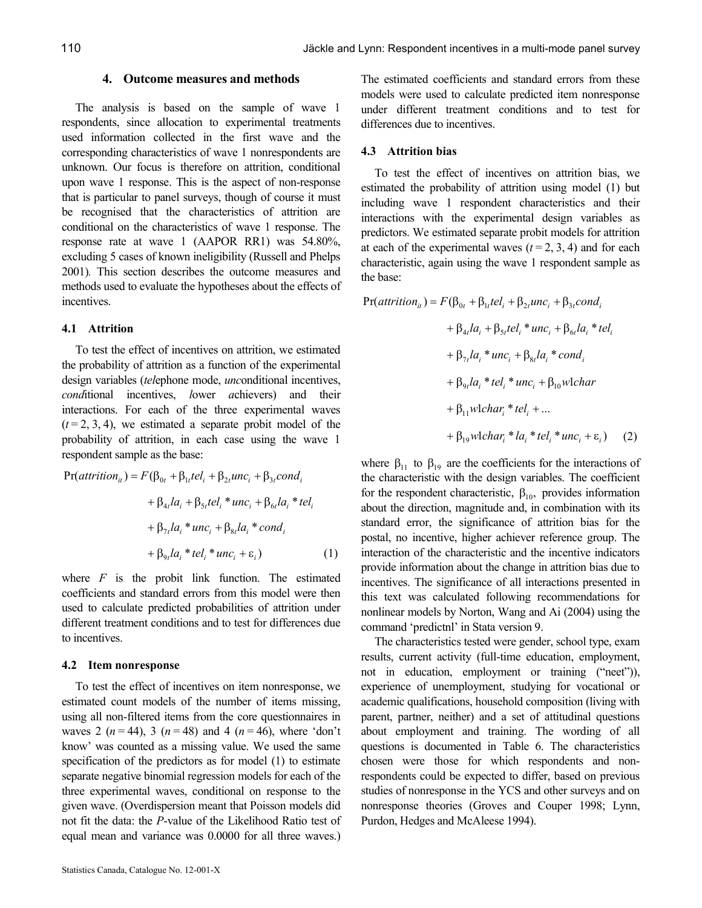#### 4. Outcome measures and methods

The analysis is based on the sample of wave 1 respondents, since allocation to experimental treatments used information collected in the first wave and the corresponding characteristics of wave 1 nonrespondents are unknown. Our focus is therefore on attrition, conditional upon wave 1 response. This is the aspect of non-response that is particular to panel surveys, though of course it must be recognised that the characteristics of attrition are conditional on the characteristics of wave 1 response. The response rate at wave 1 (AAPOR RR1) was 54.80%, excluding 5 cases of known ineligibility (Russell and Phelps 2001). This section describes the outcome measures and methods used to evaluate the hypotheses about the effects of incentives.

#### 4.1 Attrition

To test the effect of incentives on attrition, we estimated the probability of attrition as a function of the experimental design variables *(telephone mode, unconditional incentives,* conditional incentives, lower achievers) and their interactions. For each of the three experimental waves  $(t = 2, 3, 4)$ , we estimated a separate probit model of the probability of attrition, in each case using the wave 1 respondent sample as the base:

$$
Pr(atrition_{ii}) = F(\beta_{0t} + \beta_{1t}tel_i + \beta_{2t}unc_i + \beta_{3t}cond_i
$$
  
+ 
$$
\beta_{4t}la_i + \beta_{5t}tel_i * unc_i + \beta_{6t}la_i * tel_i
$$
  
+ 
$$
\beta_{7t}la_i * unc_i + \beta_{8t}la_i * cond_i
$$
  
+ 
$$
\beta_{9t}la_i * tel_i * unc_i + \varepsilon_i)
$$
 (1)

where  $F$  is the probit link function. The estimated coefficients and standard errors from this model were then used to calculate predicted probabilities of attrition under different treatment conditions and to test for differences due to incentives.

#### 4.2 Item nonresponse

To test the effect of incentives on item nonresponse, we estimated count models of the number of items missing, using all non-filtered items from the core questionnaires in waves 2 ( $n = 44$ ), 3 ( $n = 48$ ) and 4 ( $n = 46$ ), where 'don't know' was counted as a missing value. We used the same specification of the predictors as for model (1) to estimate separate negative binomial regression models for each of the three experimental waves, conditional on response to the given wave. (Overdispersion meant that Poisson models did not fit the data: the P-value of the Likelihood Ratio test of equal mean and variance was 0.0000 for all three waves.)

The estimated coefficients and standard errors from these models were used to calculate predicted item nonresponse under different treatment conditions and to test for differences due to incentives.

#### 4.3 Attrition bias

To test the effect of incentives on attrition bias, we estimated the probability of attrition using model (1) but including wave 1 respondent characteristics and their interactions with the experimental design variables as predictors. We estimated separate probit models for attrition at each of the experimental waves  $(t = 2, 3, 4)$  and for each characteristic, again using the wave 1 respondent sample as the base:

$$
Pr(atrition_{ii}) = F(\beta_{0t} + \beta_{1t}tel_i + \beta_{2t}unc_i + \beta_{3t}cond_i
$$
  
+  $\beta_{4t}la_i + \beta_{5t}tel_i * unc_i + \beta_{6t}la_i * tel_i$   
+  $\beta_{7t}la_i * unc_i + \beta_{8t}la_i * cond_i$   
+  $\beta_{9t}la_i * tel_i * unc_i + \beta_{10}wlchar$   
+  $\beta_{11}wlchar_i * tel_i + ...$   
+  $\beta_{19}wlchar_i * la_i * tel_i * unc_i + \varepsilon_i)$  (2)

where  $\beta_{11}$  to  $\beta_{19}$  are the coefficients for the interactions of the characteristic with the design variables. The coefficient for the respondent characteristic,  $\beta_{10}$ , provides information about the direction, magnitude and, in combination with its standard error, the significance of attrition bias for the postal, no incentive, higher achiever reference group. The interaction of the characteristic and the incentive indicators provide information about the change in attrition bias due to incentives. The significance of all interactions presented in this text was calculated following recommendations for nonlinear models by Norton, Wang and Ai (2004) using the command 'predictnl' in Stata version 9.

The characteristics tested were gender, school type, exam results, current activity (full-time education, employment, not in education, employment or training ("neet")), experience of unemployment, studying for vocational or academic qualifications, household composition (living with parent, partner, neither) and a set of attitudinal questions about employment and training. The wording of all questions is documented in Table 6. The characteristics chosen were those for which respondents and nonrespondents could be expected to differ, based on previous studies of nonresponse in the YCS and other surveys and on nonresponse theories (Groves and Couper 1998; Lynn, Purdon, Hedges and McAleese 1994).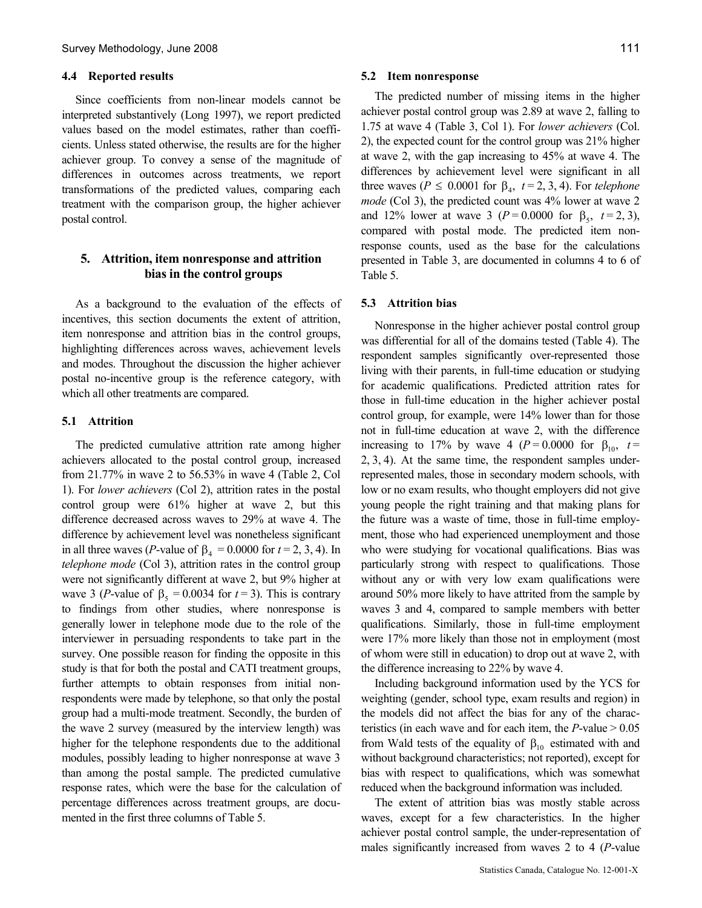#### 4.4 Reported results

Since coefficients from non-linear models cannot be interpreted substantively (Long 1997), we report predicted values based on the model estimates, rather than coefficients. Unless stated otherwise, the results are for the higher achiever group. To convey a sense of the magnitude of differences in outcomes across treatments, we report transformations of the predicted values, comparing each treatment with the comparison group, the higher achiever postal control.

#### 5. Attrition, item nonresponse and attrition bias in the control groups

As a background to the evaluation of the effects of incentives, this section documents the extent of attrition, item nonresponse and attrition bias in the control groups, highlighting differences across waves, achievement levels and modes. Throughout the discussion the higher achiever postal no-incentive group is the reference category, with which all other treatments are compared.

#### 5.1 Attrition

The predicted cumulative attrition rate among higher achievers allocated to the postal control group, increased from 21.77% in wave 2 to 56.53% in wave 4 (Table 2, Col 1). For lower achievers (Col 2), attrition rates in the postal control group were 61% higher at wave 2, but this difference decreased across waves to 29% at wave 4. The difference by achievement level was nonetheless significant in all three waves (*P*-value of  $\beta_4 = 0.0000$  for  $t = 2, 3, 4$ ). In telephone mode (Col 3), attrition rates in the control group were not significantly different at wave 2, but 9% higher at wave 3 (*P*-value of  $\beta_5 = 0.0034$  for  $t = 3$ ). This is contrary to findings from other studies, where nonresponse is generally lower in telephone mode due to the role of the interviewer in persuading respondents to take part in the survey. One possible reason for finding the opposite in this study is that for both the postal and CATI treatment groups, further attempts to obtain responses from initial nonrespondents were made by telephone, so that only the postal group had a multi-mode treatment. Secondly, the burden of the wave 2 survey (measured by the interview length) was higher for the telephone respondents due to the additional modules, possibly leading to higher nonresponse at wave 3 than among the postal sample. The predicted cumulative response rates, which were the base for the calculation of percentage differences across treatment groups, are documented in the first three columns of Table 5.

#### 5.2 Item nonresponse

The predicted number of missing items in the higher achiever postal control group was 2.89 at wave 2, falling to 1.75 at wave 4 (Table 3, Col 1). For lower achievers (Col. 2), the expected count for the control group was 21% higher at wave 2, with the gap increasing to 45% at wave 4. The differences by achievement level were significant in all three waves ( $P \le 0.0001$  for  $\beta_4$ ,  $t = 2, 3, 4$ ). For telephone mode (Col 3), the predicted count was 4% lower at wave 2 and 12% lower at wave 3 ( $P = 0.0000$  for  $\beta_5$ ,  $t = 2, 3$ ), compared with postal mode. The predicted item nonresponse counts, used as the base for the calculations presented in Table 3, are documented in columns 4 to 6 of Table 5.

#### 5.3 Attrition bias

Nonresponse in the higher achiever postal control group was differential for all of the domains tested (Table 4). The respondent samples significantly over-represented those living with their parents, in full-time education or studying for academic qualifications. Predicted attrition rates for those in full-time education in the higher achiever postal control group, for example, were 14% lower than for those not in full-time education at wave 2, with the difference increasing to 17% by wave 4 ( $P = 0.0000$  for  $\beta_{10}$ ,  $t =$ 2, 3, 4). At the same time, the respondent samples underrepresented males, those in secondary modern schools, with low or no exam results, who thought employers did not give young people the right training and that making plans for the future was a waste of time, those in full-time employment, those who had experienced unemployment and those who were studying for vocational qualifications. Bias was particularly strong with respect to qualifications. Those without any or with very low exam qualifications were around 50% more likely to have attrited from the sample by waves 3 and 4, compared to sample members with better qualifications. Similarly, those in full-time employment were 17% more likely than those not in employment (most of whom were still in education) to drop out at wave 2, with the difference increasing to 22% by wave 4.

Including background information used by the YCS for weighting (gender, school type, exam results and region) in the models did not affect the bias for any of the characteristics (in each wave and for each item, the  $P$ -value  $> 0.05$ from Wald tests of the equality of  $\beta_{10}$  estimated with and without background characteristics; not reported), except for bias with respect to qualifications, which was somewhat reduced when the background information was included.

The extent of attrition bias was mostly stable across waves, except for a few characteristics. In the higher achiever postal control sample, the under-representation of males significantly increased from waves 2 to 4 (P-value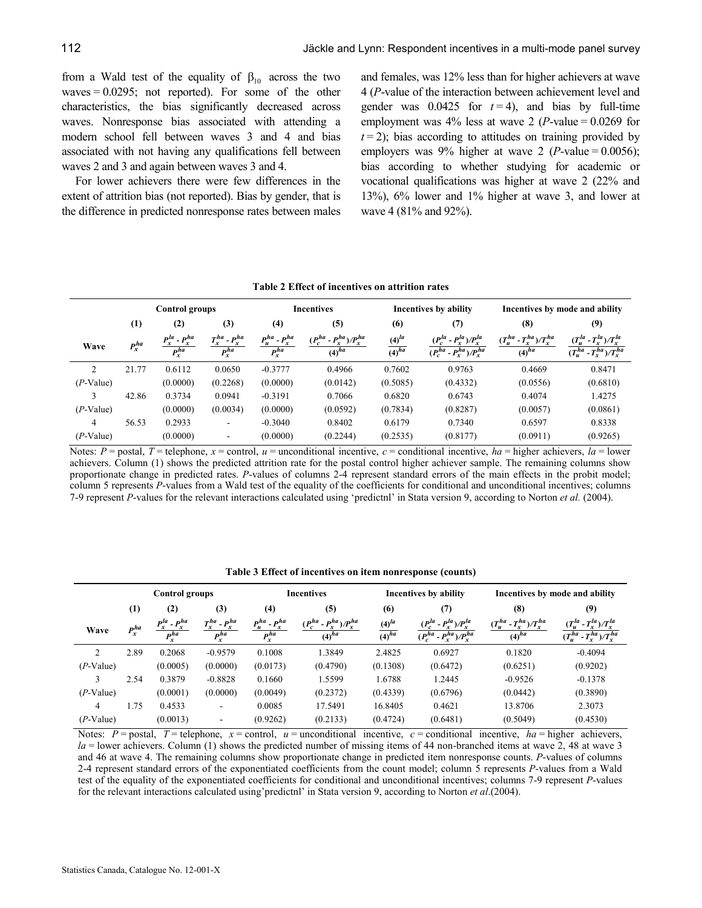from a Wald test of the equality of  $\beta_{10}$  across the two waves  $= 0.0295$ ; not reported). For some of the other characteristics, the bias significantly decreased across waves. Nonresponse bias associated with attending a modern school fell between waves 3 and 4 and bias associated with not having any qualifications fell between waves 2 and 3 and again between waves 3 and 4.

For lower achievers there were few differences in the extent of attrition bias (not reported). Bias by gender, that is the difference in predicted nonresponse rates between males and females, was 12% less than for higher achievers at wave 4 (P-value of the interaction between achievement level and gender was 0.0425 for  $t = 4$ ), and bias by full-time employment was  $4\%$  less at wave 2 (*P*-value = 0.0269 for  $t = 2$ ); bias according to attitudes on training provided by employers was 9% higher at wave 2 (*P*-value =  $0.0056$ ); bias according to whether studying for academic or vocational qualifications was higher at wave 2 (22% and 13%), 6% lower and 1% higher at wave 3, and lower at wave 4 (81% and 92%).

|                    |                       |                                        |                                       |                                       | Table 2 Effect of incentives on attrition rates |                             |                                                                      |                                                |                                                                                 |
|--------------------|-----------------------|----------------------------------------|---------------------------------------|---------------------------------------|-------------------------------------------------|-----------------------------|----------------------------------------------------------------------|------------------------------------------------|---------------------------------------------------------------------------------|
|                    | <b>Control groups</b> |                                        |                                       |                                       | <b>Incentives</b>                               |                             | Incentives by ability                                                | Incentives by mode and ability                 |                                                                                 |
|                    | $\left(1\right)$      | (2)                                    | (3)                                   | (4)                                   | (5)                                             | (6)                         | (7)                                                                  | (8)                                            | (9)                                                                             |
| Wave               | $P_x^{ha}$            | $\frac{P_x^{la} - P_x^{ha}}{P_x^{ha}}$ | $T_x^{ha}$ - $P_x^{ha}$<br>$P_x^{ha}$ | $P_u^{ha}$ - $P_x^{ha}$<br>$P_x^{ha}$ | $(P_c^{ha} - P_x^{ha})/P_x^{ha}$<br>$(4)^{ha}$  | $\frac{(4)^{la}}{(4)^{ha}}$ | $(P_c^{la} - P_x^{la})/P_x^{la}$<br>$(P_c^{ha} - P_v^{ha})/P_v^{ha}$ | $(T_u^{ha} - T_x^{ha})/T_x^{ha}$<br>$(4)^{ha}$ | $(T_u^{la} - T_x^{la})/T_x^{la}$<br>$\overline{(T_u^{ha} - T_x^{ha})/T_x^{ha}}$ |
| $\mathfrak{D}$     | 21.77                 | 0.6112                                 | 0.0650                                | $-0.3777$                             | 0.4966                                          | 0.7602                      | 0.9763                                                               | 0.4669                                         | 0.8471                                                                          |
| $(P\text{-Value})$ |                       | (0.0000)                               | (0.2268)                              | (0.0000)                              | (0.0142)                                        | (0.5085)                    | (0.4332)                                                             | (0.0556)                                       | (0.6810)                                                                        |
| 3                  | 42.86                 | 0.3734                                 | 0.0941                                | $-0.3191$                             | 0.7066                                          | 0.6820                      | 0.6743                                                               | 0.4074                                         | 1.4275                                                                          |
| $(P\text{-Value})$ |                       | (0.0000)                               | (0.0034)                              | (0.0000)                              | (0.0592)                                        | (0.7834)                    | (0.8287)                                                             | (0.0057)                                       | (0.0861)                                                                        |
| 4                  | 56.53                 | 0.2933                                 | ۰                                     | $-0.3040$                             | 0.8402                                          | 0.6179                      | 0.7340                                                               | 0.6597                                         | 0.8338                                                                          |
| $(P-Value)$        |                       | (0.0000)                               |                                       | (0.0000)                              | (0.2244)                                        | (0.2535)                    | (0.8177)                                                             | (0.0911)                                       | (0.9265)                                                                        |

Notes:  $P =$  postal,  $T =$  telephone,  $x =$  control,  $u =$  unconditional incentive,  $c =$  conditional incentive,  $ha =$  higher achievers,  $la =$  lower achievers. Column (1) shows the predicted attrition rate for the postal control higher achiever sample. The remaining columns show proportionate change in predicted rates. P-values of columns 2-4 represent standard errors of the main effects in the probit model; column 5 represents P-values from a Wald test of the equality of the coefficients for conditional and unconditional incentives; columns 7-9 represent P-values for the relevant interactions calculated using 'predictnl' in Stata version 9, according to Norton et al. (2004).

| Table 3 Effect of incentives on item nonresponse (counts) |  |  |  |  |
|-----------------------------------------------------------|--|--|--|--|
|-----------------------------------------------------------|--|--|--|--|

|                    | <b>Control groups</b> |                                        | <b>Incentives</b>                     |                                                |                                                | Incentives by ability           | Incentives by mode and ability                                       |                                                |                                                                      |
|--------------------|-----------------------|----------------------------------------|---------------------------------------|------------------------------------------------|------------------------------------------------|---------------------------------|----------------------------------------------------------------------|------------------------------------------------|----------------------------------------------------------------------|
|                    | (1)                   | (2)                                    | (3)                                   | (4)                                            | (5)                                            | (6)                             | (7)                                                                  | (8)                                            | (9)                                                                  |
| Wave               | $P_x^{ha}$            | $\frac{P_x^{la} - P_x^{ha}}{P_x^{ha}}$ | $T_x^{ha}$ - $P_x^{ha}$<br>$P_x^{ha}$ | $P_u^{ha} - P_x^{ha}$<br>$\overline{P_x^{ha}}$ | $(P_c^{ha} - P_x^{ha})/P_x^{ha}$<br>$(4)^{ha}$ | $(4)^{la}$<br>$\sqrt{(4)^{ha}}$ | $(P_c^{la} - P_x^{la})/P_x^{la}$<br>$(P_c^{ha} - P_x^{ha})/P_x^{ha}$ | $(T_u^{ha} - T_x^{ha})/T_x^{ha}$<br>$(4)^{ha}$ | $(T_u^{la} - T_x^{la})/T_x^{la}$<br>$(T_u^{ha} - T_x^{ha})/T_x^{ha}$ |
| $\mathfrak{D}$     | 2.89                  | 0.2068                                 | $-0.9579$                             | 0.1008                                         | 1.3849                                         | 2.4825                          | 0.6927                                                               | 0.1820                                         | $-0.4094$                                                            |
| $(P-Value)$        |                       | (0.0005)                               | (0.0000)                              | (0.0173)                                       | (0.4790)                                       | (0.1308)                        | (0.6472)                                                             | (0.6251)                                       | (0.9202)                                                             |
| 3                  | 2.54                  | 0.3879                                 | $-0.8828$                             | 0.1660                                         | 1.5599                                         | 1.6788                          | 1.2445                                                               | $-0.9526$                                      | $-0.1378$                                                            |
| $(P-Value)$        |                       | (0.0001)                               | (0.0000)                              | (0.0049)                                       | (0.2372)                                       | (0.4339)                        | (0.6796)                                                             | (0.0442)                                       | (0.3890)                                                             |
| 4                  | 1.75                  | 0.4533                                 |                                       | 0.0085                                         | 17.5491                                        | 16.8405                         | 0.4621                                                               | 13.8706                                        | 2.3073                                                               |
| $(P\text{-Value})$ |                       | (0.0013)                               |                                       | (0.9262)                                       | (0.2133)                                       | (0.4724)                        | (0.6481)                                                             | (0.5049)                                       | (0.4530)                                                             |

Notes:  $P =$  postal,  $T =$  telephone,  $x =$  control,  $u =$  unconditional incentive,  $c =$  conditional incentive,  $ha =$  higher achievers,  $la =$  lower achievers. Column (1) shows the predicted number of missing items of 44 non-branched items at wave 2, 48 at wave 3 and 46 at wave 4. The remaining columns show proportionate change in predicted item nonresponse counts. P-values of columns 2-4 represent standard errors of the exponentiated coefficients from the count model; column 5 represents P-values from a Wald test of the equality of the exponentiated coefficients for conditional and unconditional incentives; columns 7-9 represent P-values for the relevant interactions calculated using' predictnl' in Stata version 9, according to Norton et al.(2004).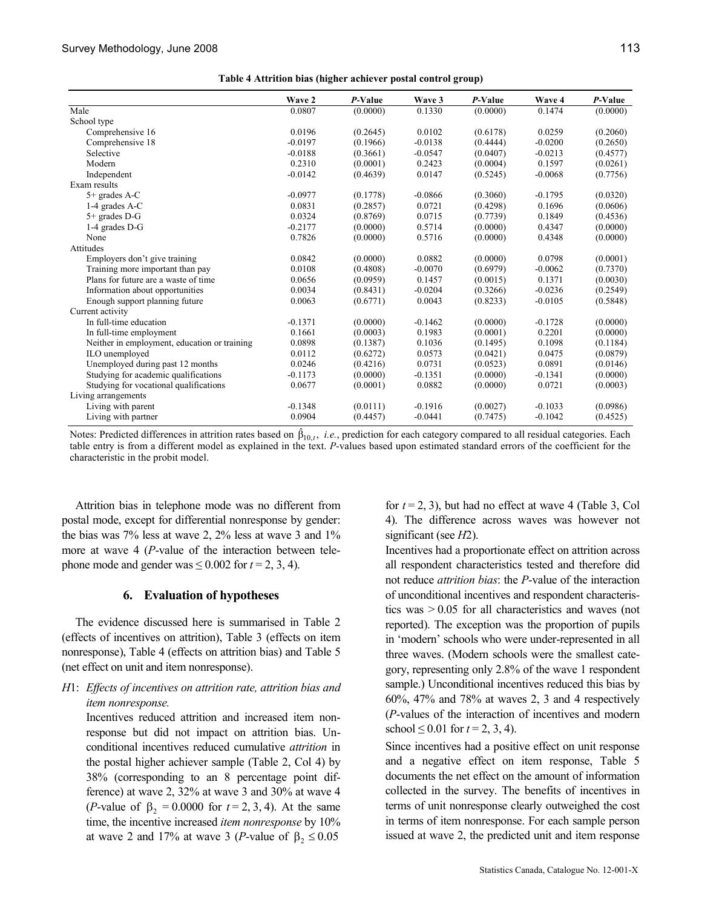|                                              | Wave 2    | P-Value  | Wave 3    | P-Value  | Wave 4    | P-Value  |
|----------------------------------------------|-----------|----------|-----------|----------|-----------|----------|
| Male                                         | 0.0807    | (0.0000) | 0.1330    | (0.0000) | 0.1474    | (0.0000) |
| School type                                  |           |          |           |          |           |          |
| Comprehensive 16                             | 0.0196    | (0.2645) | 0.0102    | (0.6178) | 0.0259    | (0.2060) |
| Comprehensive 18                             | $-0.0197$ | (0.1966) | $-0.0138$ | (0.4444) | $-0.0200$ | (0.2650) |
| Selective                                    | $-0.0188$ | (0.3661) | $-0.0547$ | (0.0407) | $-0.0213$ | (0.4577) |
| Modern                                       | 0.2310    | (0.0001) | 0.2423    | (0.0004) | 0.1597    | (0.0261) |
| Independent                                  | $-0.0142$ | (0.4639) | 0.0147    | (0.5245) | $-0.0068$ | (0.7756) |
| Exam results                                 |           |          |           |          |           |          |
| $5+$ grades A-C                              | $-0.0977$ | (0.1778) | $-0.0866$ | (0.3060) | $-0.1795$ | (0.0320) |
| 1-4 grades A-C                               | 0.0831    | (0.2857) | 0.0721    | (0.4298) | 0.1696    | (0.0606) |
| 5+ grades D-G                                | 0.0324    | (0.8769) | 0.0715    | (0.7739) | 0.1849    | (0.4536) |
| 1-4 grades D-G                               | $-0.2177$ | (0.0000) | 0.5714    | (0.0000) | 0.4347    | (0.0000) |
| None                                         | 0.7826    | (0.0000) | 0.5716    | (0.0000) | 0.4348    | (0.0000) |
| Attitudes                                    |           |          |           |          |           |          |
| Employers don't give training                | 0.0842    | (0.0000) | 0.0882    | (0.0000) | 0.0798    | (0.0001) |
| Training more important than pay             | 0.0108    | (0.4808) | $-0.0070$ | (0.6979) | $-0.0062$ | (0.7370) |
| Plans for future are a waste of time         | 0.0656    | (0.0959) | 0.1457    | (0.0015) | 0.1371    | (0.0030) |
| Information about opportunities              | 0.0034    | (0.8431) | $-0.0204$ | (0.3266) | $-0.0236$ | (0.2549) |
| Enough support planning future               | 0.0063    | (0.6771) | 0.0043    | (0.8233) | $-0.0105$ | (0.5848) |
| Current activity                             |           |          |           |          |           |          |
| In full-time education                       | $-0.1371$ | (0.0000) | $-0.1462$ | (0.0000) | $-0.1728$ | (0.0000) |
| In full-time employment                      | 0.1661    | (0.0003) | 0.1983    | (0.0001) | 0.2201    | (0.0000) |
| Neither in employment, education or training | 0.0898    | (0.1387) | 0.1036    | (0.1495) | 0.1098    | (0.1184) |
| ILO unemployed                               | 0.0112    | (0.6272) | 0.0573    | (0.0421) | 0.0475    | (0.0879) |
| Unemployed during past 12 months             | 0.0246    | (0.4216) | 0.0731    | (0.0523) | 0.0891    | (0.0146) |
| Studying for academic qualifications         | $-0.1173$ | (0.0000) | $-0.1351$ | (0.0000) | $-0.1341$ | (0.0000) |
| Studying for vocational qualifications       | 0.0677    | (0.0001) | 0.0882    | (0.0000) | 0.0721    | (0.0003) |
| Living arrangements                          |           |          |           |          |           |          |
| Living with parent                           | $-0.1348$ | (0.0111) | $-0.1916$ | (0.0027) | $-0.1033$ | (0.0986) |
| Living with partner                          | 0.0904    | (0.4457) | $-0.0441$ | (0.7475) | $-0.1042$ | (0.4525) |

Notes: Predicted differences in attrition rates based on  $\hat{\beta}_{10,t}$ , *i.e.*, prediction for each category compared to all residual categories. Each table entry is from a different model as explained in the text. P-values based upon estimated standard errors of the coefficient for the characteristic in the probit model.

Attrition bias in telephone mode was no different from postal mode, except for differential nonresponse by gender: the bias was 7% less at wave 2, 2% less at wave 3 and 1% more at wave 4 (P-value of the interaction between telephone mode and gender was  $\leq 0.002$  for  $t = 2, 3, 4$ ).

#### 6. Evaluation of hypotheses

The evidence discussed here is summarised in Table 2 (effects of incentives on attrition), Table 3 (effects on item nonresponse), Table 4 (effects on attrition bias) and Table 5 (net effect on unit and item nonresponse).

H1: Effects of incentives on attrition rate, attrition bias and item nonresponse.

Incentives reduced attrition and increased item nonresponse but did not impact on attrition bias. Unconditional incentives reduced cumulative attrition in the postal higher achiever sample (Table 2, Col 4) by 38% (corresponding to an 8 percentage point difference) at wave 2, 32% at wave 3 and 30% at wave 4 (*P*-value of  $\beta_2 = 0.0000$  for  $t = 2, 3, 4$ ). At the same time, the incentive increased *item nonresponse* by 10% at wave 2 and 17% at wave 3 (*P*-value of β<sub>2</sub> ≤ 0.05

for  $t = 2, 3$ ), but had no effect at wave 4 (Table 3, Col 4). The difference across waves was however not significant (see *H*2).

Incentives had a proportionate effect on attrition across all respondent characteristics tested and therefore did not reduce attrition bias: the P-value of the interaction of unconditional incentives and respondent characteristics was > 0.05 for all characteristics and waves (not reported). The exception was the proportion of pupils in 'modern' schools who were under-represented in all three waves. (Modern schools were the smallest category, representing only 2.8% of the wave 1 respondent sample.) Unconditional incentives reduced this bias by 60%, 47% and 78% at waves 2, 3 and 4 respectively (P-values of the interaction of incentives and modern school  $\leq 0.01$  for  $t = 2, 3, 4$ ).

Since incentives had a positive effect on unit response and a negative effect on item response, Table 5 documents the net effect on the amount of information collected in the survey. The benefits of incentives in terms of unit nonresponse clearly outweighed the cost in terms of item nonresponse. For each sample person issued at wave 2, the predicted unit and item response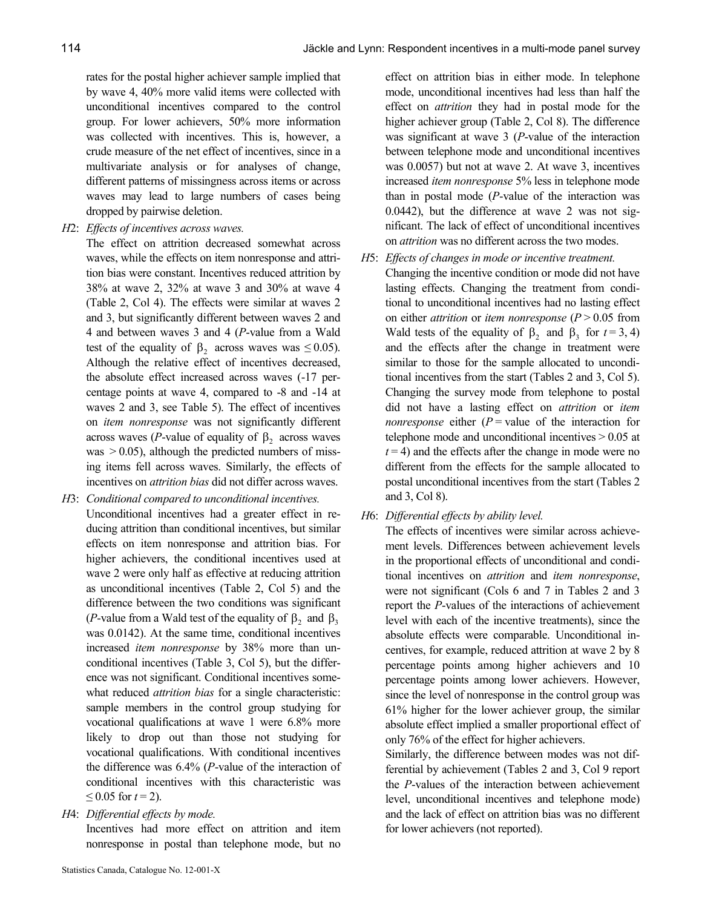rates for the postal higher achiever sample implied that by wave 4, 40% more valid items were collected with unconditional incentives compared to the control group. For lower achievers, 50% more information was collected with incentives. This is, however, a crude measure of the net effect of incentives, since in a multivariate analysis or for analyses of change, different patterns of missingness across items or across waves may lead to large numbers of cases being dropped by pairwise deletion.

H2: Effects of incentives across waves.

The effect on attrition decreased somewhat across waves, while the effects on item nonresponse and attrition bias were constant. Incentives reduced attrition by 38% at wave 2, 32% at wave 3 and 30% at wave 4 (Table 2, Col 4). The effects were similar at waves 2 and 3, but significantly different between waves 2 and 4 and between waves 3 and 4 (P-value from a Wald test of the equality of  $\beta_2$  across waves was  $\leq 0.05$ ). Although the relative effect of incentives decreased, the absolute effect increased across waves (-17 percentage points at wave 4, compared to -8 and -14 at waves 2 and 3, see Table 5). The effect of incentives on item nonresponse was not significantly different across waves (*P*-value of equality of  $\beta_2$  across waves was  $> 0.05$ ), although the predicted numbers of missing items fell across waves. Similarly, the effects of incentives on *attrition bias* did not differ across waves.

- H3: Conditional compared to unconditional incentives. Unconditional incentives had a greater effect in reducing attrition than conditional incentives, but similar effects on item nonresponse and attrition bias. For higher achievers, the conditional incentives used at wave 2 were only half as effective at reducing attrition as unconditional incentives (Table 2, Col 5) and the difference between the two conditions was significant (*P*-value from a Wald test of the equality of  $\beta_2$  and  $\beta_3$ was 0.0142). At the same time, conditional incentives increased item nonresponse by 38% more than unconditional incentives (Table 3, Col 5), but the difference was not significant. Conditional incentives somewhat reduced *attrition bias* for a single characteristic: sample members in the control group studying for vocational qualifications at wave 1 were 6.8% more likely to drop out than those not studying for vocational qualifications. With conditional incentives the difference was 6.4% (P-value of the interaction of conditional incentives with this characteristic was  $\leq$  0.05 for  $t = 2$ ).
- H4: Differential effects by mode.

Incentives had more effect on attrition and item nonresponse in postal than telephone mode, but no

effect on attrition bias in either mode. In telephone mode, unconditional incentives had less than half the effect on attrition they had in postal mode for the higher achiever group (Table 2, Col 8). The difference was significant at wave 3 (P-value of the interaction between telephone mode and unconditional incentives was 0.0057) but not at wave 2. At wave 3, incentives increased item nonresponse 5% less in telephone mode than in postal mode (P-value of the interaction was 0.0442), but the difference at wave 2 was not significant. The lack of effect of unconditional incentives on attrition was no different across the two modes.

- H5: Effects of changes in mode or incentive treatment.
	- Changing the incentive condition or mode did not have lasting effects. Changing the treatment from conditional to unconditional incentives had no lasting effect on either *attrition* or *item nonresponse* ( $P > 0.05$  from Wald tests of the equality of  $\beta_2$  and  $\beta_3$  for  $t = 3, 4$ ) and the effects after the change in treatment were similar to those for the sample allocated to unconditional incentives from the start (Tables 2 and 3, Col 5). Changing the survey mode from telephone to postal did not have a lasting effect on *attrition* or *item nonresponse* either  $(P = value of the interaction for)$ telephone mode and unconditional incentives > 0.05 at  $t = 4$ ) and the effects after the change in mode were no different from the effects for the sample allocated to postal unconditional incentives from the start (Tables 2 and 3, Col 8).
- H6: Differential effects by ability level.

The effects of incentives were similar across achievement levels. Differences between achievement levels in the proportional effects of unconditional and conditional incentives on attrition and item nonresponse, were not significant (Cols 6 and 7 in Tables 2 and 3 report the P-values of the interactions of achievement level with each of the incentive treatments), since the absolute effects were comparable. Unconditional incentives, for example, reduced attrition at wave 2 by 8 percentage points among higher achievers and 10 percentage points among lower achievers. However, since the level of nonresponse in the control group was 61% higher for the lower achiever group, the similar absolute effect implied a smaller proportional effect of only 76% of the effect for higher achievers.

Similarly, the difference between modes was not differential by achievement (Tables 2 and 3, Col 9 report the P-values of the interaction between achievement level, unconditional incentives and telephone mode) and the lack of effect on attrition bias was no different for lower achievers (not reported).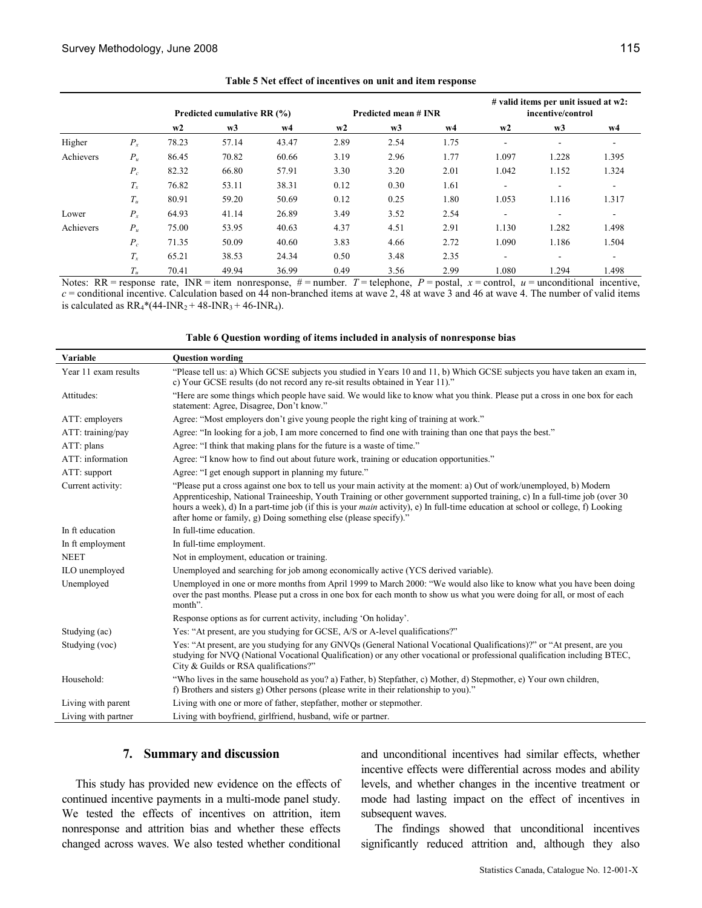|           |             | Predicted cumulative RR (%) |       |       | Predicted mean # INR |                |      | # valid items per unit issued at w2:<br>incentive/control |                          |                          |
|-----------|-------------|-----------------------------|-------|-------|----------------------|----------------|------|-----------------------------------------------------------|--------------------------|--------------------------|
|           |             | w2                          | w3    | w4    | w2                   | w <sub>3</sub> | w4   | w2                                                        | w3                       | w4                       |
| Higher    | $P_{\rm r}$ | 78.23                       | 57.14 | 43.47 | 2.89                 | 2.54           | 1.75 | ۰                                                         | $\overline{\phantom{a}}$ | $\overline{\phantom{a}}$ |
| Achievers | $P_u$       | 86.45                       | 70.82 | 60.66 | 3.19                 | 2.96           | 1.77 | 1.097                                                     | 1.228                    | 1.395                    |
|           | $P_c$       | 82.32                       | 66.80 | 57.91 | 3.30                 | 3.20           | 2.01 | 1.042                                                     | 1.152                    | 1.324                    |
|           | $T_{\rm r}$ | 76.82                       | 53.11 | 38.31 | 0.12                 | 0.30           | 1.61 | ۰                                                         | $\overline{\phantom{a}}$ | $\overline{\phantom{a}}$ |
|           | $T_u$       | 80.91                       | 59.20 | 50.69 | 0.12                 | 0.25           | 1.80 | 1.053                                                     | 1.116                    | 1.317                    |
| Lower     | $P_{x}$     | 64.93                       | 41.14 | 26.89 | 3.49                 | 3.52           | 2.54 | ۰                                                         | $\overline{\phantom{a}}$ | $\overline{\phantom{a}}$ |
| Achievers | $P_u$       | 75.00                       | 53.95 | 40.63 | 4.37                 | 4.51           | 2.91 | 1.130                                                     | 1.282                    | 1.498                    |
|           | $P_c$       | 71.35                       | 50.09 | 40.60 | 3.83                 | 4.66           | 2.72 | 1.090                                                     | 1.186                    | 1.504                    |
|           | $T_{\rm r}$ | 65.21                       | 38.53 | 24.34 | 0.50                 | 3.48           | 2.35 | $\overline{\phantom{a}}$                                  | $\overline{\phantom{a}}$ | ۰.                       |
|           | $T_u$       | 70.41                       | 49.94 | 36.99 | 0.49                 | 3.56           | 2.99 | 1.080                                                     | 1.294                    | 1.498                    |

Table 5 Net effect of incentives on unit and item response

Notes: RR = response rate, INR = item nonresponse,  $#$  = number. T = telephone, P = postal, x = control, u = unconditional incentive,  $c$  = conditional incentive. Calculation based on  $4\overline{4}$  non-branched items at wave 2, 48 at wave 3 and 46 at wave 4. The number of valid items is calculated as  $RR_4*(44-INR_2 + 48-INR_3 + 46-INR_4)$ .

#### Table 6 Question wording of items included in analysis of nonresponse bias

| <b>Variable</b>      | <b>Question wording</b>                                                                                                                                                                                                                                                                                                                                                                                                                                             |
|----------------------|---------------------------------------------------------------------------------------------------------------------------------------------------------------------------------------------------------------------------------------------------------------------------------------------------------------------------------------------------------------------------------------------------------------------------------------------------------------------|
| Year 11 exam results | "Please tell us: a) Which GCSE subjects you studied in Years 10 and 11, b) Which GCSE subjects you have taken an exam in,<br>c) Your GCSE results (do not record any re-sit results obtained in Year 11)."                                                                                                                                                                                                                                                          |
| Attitudes:           | "Here are some things which people have said. We would like to know what you think. Please put a cross in one box for each<br>statement: Agree, Disagree, Don't know."                                                                                                                                                                                                                                                                                              |
| ATT: employers       | Agree: "Most employers don't give young people the right king of training at work."                                                                                                                                                                                                                                                                                                                                                                                 |
| ATT: training/pay    | Agree: "In looking for a job, I am more concerned to find one with training than one that pays the best."                                                                                                                                                                                                                                                                                                                                                           |
| ATT: plans           | Agree: "I think that making plans for the future is a waste of time."                                                                                                                                                                                                                                                                                                                                                                                               |
| ATT: information     | Agree: "I know how to find out about future work, training or education opportunities."                                                                                                                                                                                                                                                                                                                                                                             |
| ATT: support         | Agree: "I get enough support in planning my future."                                                                                                                                                                                                                                                                                                                                                                                                                |
| Current activity:    | "Please put a cross against one box to tell us your main activity at the moment: a) Out of work/unemployed, b) Modern<br>Apprenticeship, National Traineeship, Youth Training or other government supported training, c) In a full-time job (over 30<br>hours a week), d) In a part-time job (if this is your <i>main</i> activity), e) In full-time education at school or college, f) Looking<br>after home or family, g) Doing something else (please specify)." |
| In ft education      | In full-time education.                                                                                                                                                                                                                                                                                                                                                                                                                                             |
| In ft employment     | In full-time employment.                                                                                                                                                                                                                                                                                                                                                                                                                                            |
| <b>NEET</b>          | Not in employment, education or training.                                                                                                                                                                                                                                                                                                                                                                                                                           |
| ILO unemployed       | Unemployed and searching for job among economically active (YCS derived variable).                                                                                                                                                                                                                                                                                                                                                                                  |
| Unemployed           | Unemployed in one or more months from April 1999 to March 2000: "We would also like to know what you have been doing<br>over the past months. Please put a cross in one box for each month to show us what you were doing for all, or most of each<br>month".                                                                                                                                                                                                       |
|                      | Response options as for current activity, including 'On holiday'.                                                                                                                                                                                                                                                                                                                                                                                                   |
| Studying (ac)        | Yes: "At present, are you studying for GCSE, A/S or A-level qualifications?"                                                                                                                                                                                                                                                                                                                                                                                        |
| Studying (voc)       | Yes: "At present, are you studying for any GNVOs (General National Vocational Qualifications)?" or "At present, are you<br>studying for NVQ (National Vocational Qualification) or any other vocational or professional qualification including BTEC,<br>City & Guilds or RSA qualifications?"                                                                                                                                                                      |
| Household:           | "Who lives in the same household as you? a) Father, b) Stepfather, c) Mother, d) Stepmother, e) Your own children,<br>f) Brothers and sisters g) Other persons (please write in their relationship to you)."                                                                                                                                                                                                                                                        |
| Living with parent   | Living with one or more of father, stepfather, mother or stepmother.                                                                                                                                                                                                                                                                                                                                                                                                |
| Living with partner  | Living with boyfriend, girlfriend, husband, wife or partner.                                                                                                                                                                                                                                                                                                                                                                                                        |

#### 7. Summary and discussion

This study has provided new evidence on the effects of continued incentive payments in a multi-mode panel study. We tested the effects of incentives on attrition, item nonresponse and attrition bias and whether these effects changed across waves. We also tested whether conditional

and unconditional incentives had similar effects, whether incentive effects were differential across modes and ability levels, and whether changes in the incentive treatment or mode had lasting impact on the effect of incentives in subsequent waves.

The findings showed that unconditional incentives significantly reduced attrition and, although they also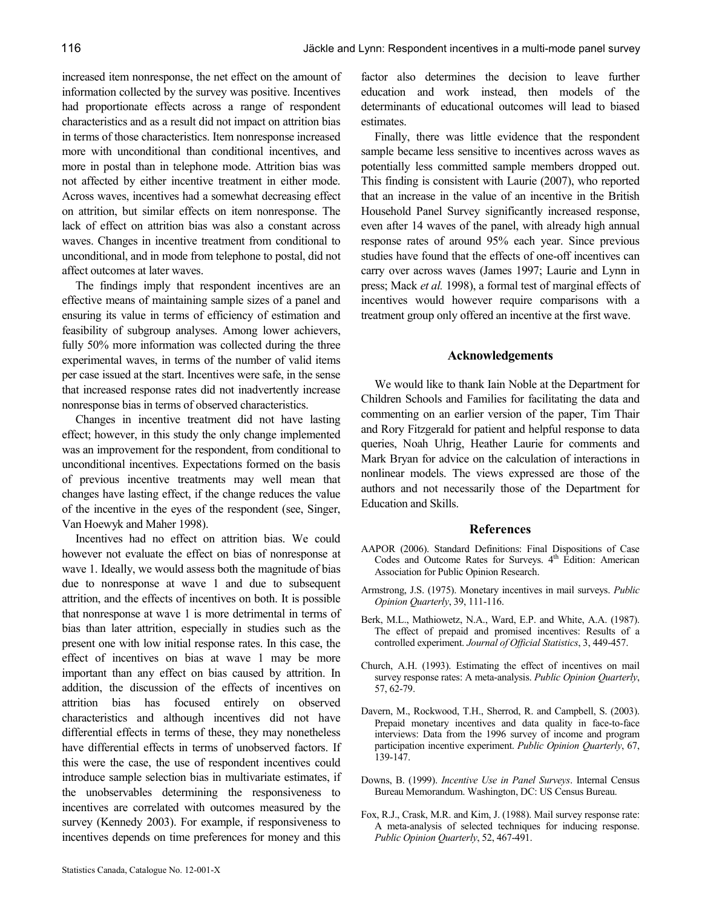increased item nonresponse, the net effect on the amount of information collected by the survey was positive. Incentives had proportionate effects across a range of respondent characteristics and as a result did not impact on attrition bias in terms of those characteristics. Item nonresponse increased more with unconditional than conditional incentives, and more in postal than in telephone mode. Attrition bias was not affected by either incentive treatment in either mode. Across waves, incentives had a somewhat decreasing effect on attrition, but similar effects on item nonresponse. The lack of effect on attrition bias was also a constant across waves. Changes in incentive treatment from conditional to unconditional, and in mode from telephone to postal, did not affect outcomes at later waves.

The findings imply that respondent incentives are an effective means of maintaining sample sizes of a panel and ensuring its value in terms of efficiency of estimation and feasibility of subgroup analyses. Among lower achievers, fully 50% more information was collected during the three experimental waves, in terms of the number of valid items per case issued at the start. Incentives were safe, in the sense that increased response rates did not inadvertently increase nonresponse bias in terms of observed characteristics.

Changes in incentive treatment did not have lasting effect; however, in this study the only change implemented was an improvement for the respondent, from conditional to unconditional incentives. Expectations formed on the basis of previous incentive treatments may well mean that changes have lasting effect, if the change reduces the value of the incentive in the eyes of the respondent (see, Singer, Van Hoewyk and Maher 1998).

Incentives had no effect on attrition bias. We could however not evaluate the effect on bias of nonresponse at wave 1. Ideally, we would assess both the magnitude of bias due to nonresponse at wave 1 and due to subsequent attrition, and the effects of incentives on both. It is possible that nonresponse at wave 1 is more detrimental in terms of bias than later attrition, especially in studies such as the present one with low initial response rates. In this case, the effect of incentives on bias at wave 1 may be more important than any effect on bias caused by attrition. In addition, the discussion of the effects of incentives on attrition bias has focused entirely on observed characteristics and although incentives did not have differential effects in terms of these, they may nonetheless have differential effects in terms of unobserved factors. If this were the case, the use of respondent incentives could introduce sample selection bias in multivariate estimates, if the unobservables determining the responsiveness to incentives are correlated with outcomes measured by the survey (Kennedy 2003). For example, if responsiveness to incentives depends on time preferences for money and this

factor also determines the decision to leave further education and work instead, then models of the determinants of educational outcomes will lead to biased estimates.

Finally, there was little evidence that the respondent sample became less sensitive to incentives across waves as potentially less committed sample members dropped out. This finding is consistent with Laurie (2007), who reported that an increase in the value of an incentive in the British Household Panel Survey significantly increased response, even after 14 waves of the panel, with already high annual response rates of around 95% each year. Since previous studies have found that the effects of one-off incentives can carry over across waves (James 1997; Laurie and Lynn in press; Mack et al. 1998), a formal test of marginal effects of incentives would however require comparisons with a treatment group only offered an incentive at the first wave.

#### Acknowledgements

We would like to thank Iain Noble at the Department for Children Schools and Families for facilitating the data and commenting on an earlier version of the paper, Tim Thair and Rory Fitzgerald for patient and helpful response to data queries, Noah Uhrig, Heather Laurie for comments and Mark Bryan for advice on the calculation of interactions in nonlinear models. The views expressed are those of the authors and not necessarily those of the Department for Education and Skills.

#### References

- AAPOR (2006). Standard Definitions: Final Dispositions of Case Codes and Outcome Rates for Surveys. 4<sup>th</sup> Edition: American Association for Public Opinion Research.
- Armstrong, J.S. (1975). Monetary incentives in mail surveys. Public Opinion Quarterly, 39, 111-116.
- Berk, M.L., Mathiowetz, N.A., Ward, E.P. and White, A.A. (1987). The effect of prepaid and promised incentives: Results of a controlled experiment. Journal of Official Statistics, 3, 449-457.
- Church, A.H. (1993). Estimating the effect of incentives on mail survey response rates: A meta-analysis. Public Opinion Quarterly, 57, 62-79.
- Davern, M., Rockwood, T.H., Sherrod, R. and Campbell, S. (2003). Prepaid monetary incentives and data quality in face-to-face interviews: Data from the 1996 survey of income and program participation incentive experiment. Public Opinion Quarterly, 67, 139-147.
- Downs, B. (1999). Incentive Use in Panel Surveys. Internal Census Bureau Memorandum. Washington, DC: US Census Bureau.
- Fox, R.J., Crask, M.R. and Kim, J. (1988). Mail survey response rate: A meta-analysis of selected techniques for inducing response. Public Opinion Quarterly, 52, 467-491.